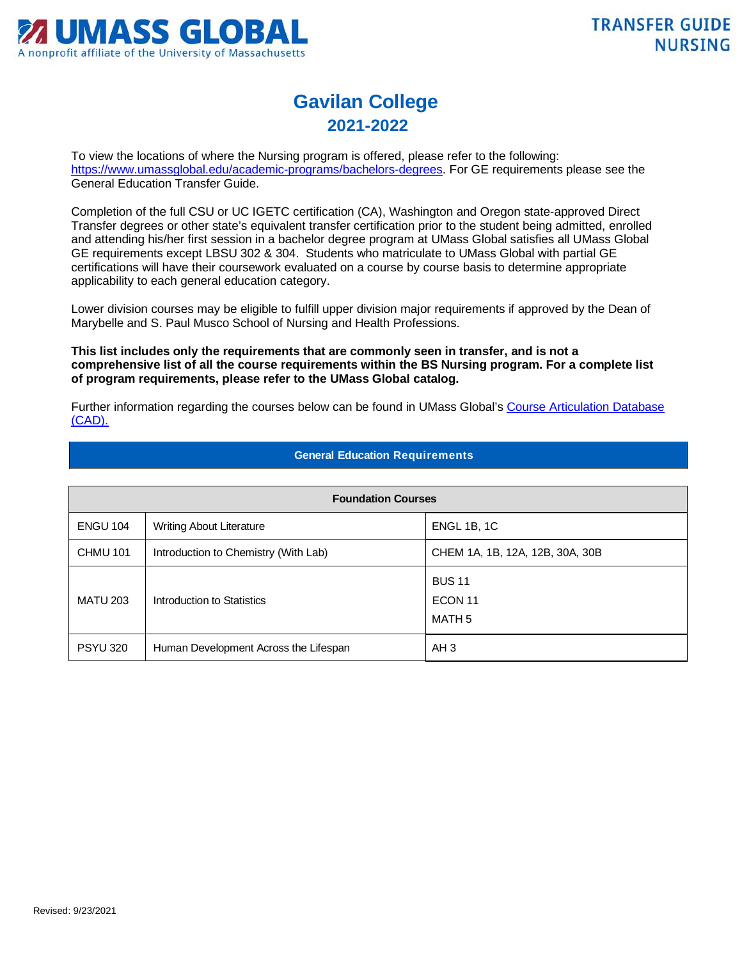

## **Gavilan College 2021-2022**

To view the locations of where the Nursing program is offered, please refer to the following: [https://www.umassglobal.edu/academic-programs/bachelors-degrees.](https://www.umassglobal.edu/academic-programs/bachelors-degrees) For GE requirements please see the General Education Transfer Guide.

Completion of the full CSU or UC IGETC certification (CA), Washington and Oregon state-approved Direct Transfer degrees or other state's equivalent transfer certification prior to the student being admitted, enrolled and attending his/her first session in a bachelor degree program at UMass Global satisfies all UMass Global GE requirements except LBSU 302 & 304. Students who matriculate to UMass Global with partial GE certifications will have their coursework evaluated on a course by course basis to determine appropriate applicability to each general education category.

Lower division courses may be eligible to fulfill upper division major requirements if approved by the Dean of Marybelle and S. Paul Musco School of Nursing and Health Professions.

**This list includes only the requirements that are commonly seen in transfer, and is not a comprehensive list of all the course requirements within the BS Nursing program. For a complete list of program requirements, please refer to the UMass Global catalog.**

Further information regarding the courses below can be found in UMass Global's Course Articulation Database [\(CAD\).](http://services.umassglobal.edu/studentservices/TransferCredit/) 

| <b>Foundation Courses</b> |                                       |                                    |  |
|---------------------------|---------------------------------------|------------------------------------|--|
| <b>ENGU 104</b>           | <b>Writing About Literature</b>       | ENGL 1B, 1C                        |  |
| <b>CHMU 101</b>           | Introduction to Chemistry (With Lab)  | CHEM 1A, 1B, 12A, 12B, 30A, 30B    |  |
| <b>MATU 203</b>           | Introduction to Statistics            | <b>BUS 11</b><br>ECON 11<br>MATH 5 |  |
| <b>PSYU 320</b>           | Human Development Across the Lifespan | AH <sub>3</sub>                    |  |

## **General Education Requirements**